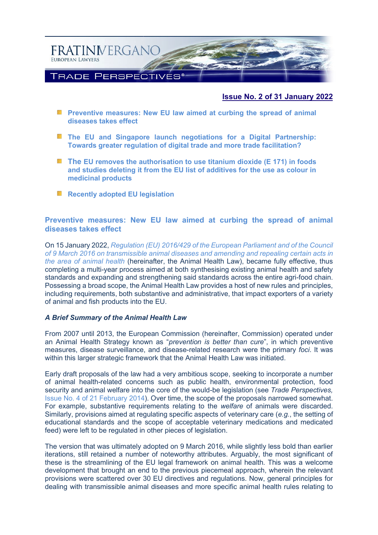

# **Issue No. 2 of 31 January 2022**

- **Preventive measures: New EU law aimed at curbing the spread of animal [diseases takes effect](#page-0-0)**
- **[The EU and Singapore launch negotiations for a Digital Partnership:](#page-2-0)  [Towards greater regulation of digital trade and more trade facilitation?](#page-2-0)**
- **The [EU removes the authorisation to use titanium dioxide \(E 171\) in foods](#page-5-0)  [and studies deleting it from the EU list of additives for the use as colour in](#page-5-0)  [medicinal products](#page-5-0)**
- **[Recently adopted EU legislation](#page-8-0)**

# <span id="page-0-0"></span>**Preventive measures: New EU law aimed at curbing the spread of animal diseases takes effect**

On 15 January 2022, *[Regulation \(EU\) 2016/429 of the European Parliament and of the Council](https://eur-lex.europa.eu/eli/reg/2016/429/oj)  [of 9 March 2016 on transmissible animal diseases and amending and repealing certain acts in](https://eur-lex.europa.eu/eli/reg/2016/429/oj)  [the area of animal health](https://eur-lex.europa.eu/eli/reg/2016/429/oj)* (hereinafter, the Animal Health Law), became fully effective, thus completing a multi-year process aimed at both synthesising existing animal health and safety standards and expanding and strengthening said standards across the entire agri-food chain. Possessing a broad scope, the Animal Health Law provides a host of new rules and principles, including requirements, both substantive and administrative, that impact exporters of a variety of animal and fish products into the EU.

### *A Brief Summary of the Animal Health Law*

From 2007 until 2013, the European Commission (hereinafter, Commission) operated under an Animal Health Strategy known as "*prevention is better than cure*", in which preventive measures, disease surveillance, and disease-related research were the primary *foci*. It was within this larger strategic framework that the Animal Health Law was initiated.

Early draft proposals of the law had a very ambitious scope, seeking to incorporate a number of animal health-related concerns such as public health, environmental protection, food security and animal welfare into the core of the would-be legislation (see *Trade Perspectives,* [Issue No. 4 of 21 February 2014\)](http://www.fratinivergano.eu/static/upload/1/1/14.02_.21_TP_Issue_4_.pdf). Over time, the scope of the proposals narrowed somewhat. For example, substantive requirements relating to the *welfare* of animals were discarded. Similarly, provisions aimed at regulating specific aspects of veterinary care (*e.g.*, the setting of educational standards and the scope of acceptable veterinary medications and medicated feed) were left to be regulated in other pieces of legislation.

The version that was ultimately adopted on 9 March 2016, while slightly less bold than earlier iterations, still retained a number of noteworthy attributes. Arguably, the most significant of these is the streamlining of the EU legal framework on animal health. This was a welcome development that brought an end to the previous piecemeal approach, wherein the relevant provisions were scattered over 30 EU directives and regulations. Now, general principles for dealing with transmissible animal diseases and more specific animal health rules relating to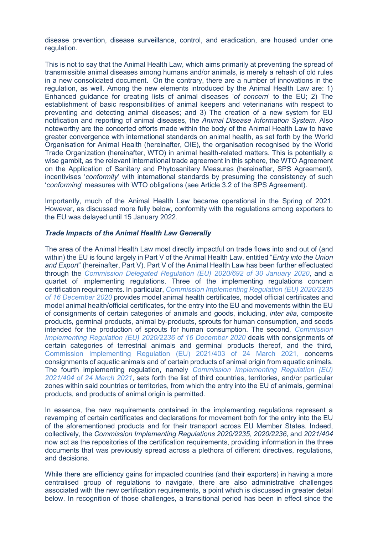disease prevention, disease surveillance, control, and eradication, are housed under one regulation.

This is not to say that the Animal Health Law, which aims primarily at preventing the spread of transmissible animal diseases among humans and/or animals, is merely a rehash of old rules in a new consolidated document. On the contrary, there are a number of innovations in the regulation, as well. Among the new elements introduced by the Animal Health Law are: 1) Enhanced guidance for creating lists of animal diseases '*of concern*' to the EU; 2) The establishment of basic responsibilities of animal keepers and veterinarians with respect to preventing and detecting animal diseases; and 3) The creation of a new system for EU notification and reporting of animal diseases, the *Animal Disease Information System*. Also noteworthy are the concerted efforts made within the body of the Animal Health Law to have greater convergence with international standards on animal health, as set forth by the World Organisation for Animal Health (hereinafter, OIE), the organisation recognised by the World Trade Organization (hereinafter, WTO) in animal health-related matters. This is potentially a wise gambit, as the relevant international trade agreement in this sphere, the WTO Agreement on the Application of Sanitary and Phytosanitary Measures (hereinafter, SPS Agreement), incentivises '*conformity*' with international standards by presuming the consistency of such '*conforming*' measures with WTO obligations (see Article 3.2 of the SPS Agreement).

Importantly, much of the Animal Health Law became operational in the Spring of 2021. However, as discussed more fully below, conformity with the regulations among exporters to the EU was delayed until 15 January 2022.

### *Trade Impacts of the Animal Health Law Generally*

The area of the Animal Health Law most directly impactful on trade flows into and out of (and within) the EU is found largely in Part V of the Animal Health Law, entitled "*Entry into the Union and Export*" (hereinafter, Part V). Part V of the Animal Health Law has been further effectuated through the *[Commission Delegated Regulation \(EU\) 2020/692 of 30 January 2020](https://eur-lex.europa.eu/legal-content/EN/ALL/?uri=CELEX:32020R0692)*, and a quartet of implementing regulations. Three of the implementing regulations concern certification requirements. In particular, *[Commission Implementing Regulation \(EU\) 2020/2235](https://eur-lex.europa.eu/eli/reg_impl/2020/2235/oj)  [of 16 December 2020](https://eur-lex.europa.eu/eli/reg_impl/2020/2235/oj)* provides model animal health certificates, model official certificates and model animal health/official certificates, for the entry into the EU and movements within the EU of consignments of certain categories of animals and goods, including, *inter alia*, composite products, germinal products, animal by-products, sprouts for human consumption, and seeds intended for the production of sprouts for human consumption. The second, *[Commission](https://eur-lex.europa.eu/legal-content/EN/TXT/?uri=CELEX:32020R2236)  [Implementing Regulation \(EU\) 2020/2236 of 16 December 2020](https://eur-lex.europa.eu/legal-content/EN/TXT/?uri=CELEX:32020R2236)* deals with consignments of certain categories of terrestrial animals and germinal products thereof, and the third, [Commission Implementing Regulation \(EU\) 2021/403 of 24 March 2021,](https://eur-lex.europa.eu/legal-content/EN/TXT/?uri=CELEX:32021R0403) concerns consignments of aquatic animals and of certain products of animal origin from aquatic animals. The fourth implementing regulation, namely *[Commission Implementing Regulation \(EU\)](https://eur-lex.europa.eu/legal-content/EN/ALL/?uri=CELEX%3A32021R0404)  [2021/404 of 24 March 2021](https://eur-lex.europa.eu/legal-content/EN/ALL/?uri=CELEX%3A32021R0404)*, sets forth the list of third countries, territories, and/or particular zones within said countries or territories, from which the entry into the EU of animals, germinal products, and products of animal origin is permitted.

In essence, the new requirements contained in the implementing regulations represent a revamping of certain certificates and declarations for movement both for the entry into the EU of the aforementioned products and for their transport across EU Member States. Indeed, collectively, the *Commission Implementing Regulations 2020/2235*, *2020/2236*, and *2021/404* now act as the repositories of the certification requirements, providing information in the three documents that was previously spread across a plethora of different directives, regulations, and decisions.

While there are efficiency gains for impacted countries (and their exporters) in having a more centralised group of regulations to navigate, there are also administrative challenges associated with the new certification requirements, a point which is discussed in greater detail below. In recognition of those challenges, a transitional period has been in effect since the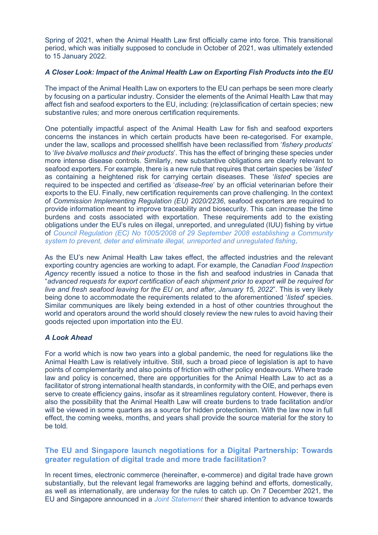Spring of 2021, when the Animal Health Law first officially came into force. This transitional period, which was initially supposed to conclude in October of 2021, was ultimately extended to 15 January 2022.

## *A Closer Look: Impact of the Animal Health Law on Exporting Fish Products into the EU*

The impact of the Animal Health Law on exporters to the EU can perhaps be seen more clearly by focusing on a particular industry. Consider the elements of the Animal Health Law that may affect fish and seafood exporters to the EU, including: (re)classification of certain species; new substantive rules; and more onerous certification requirements.

One potentially impactful aspect of the Animal Health Law for fish and seafood exporters concerns the instances in which certain products have been re-categorised. For example, under the law, scallops and processed shellfish have been reclassified from '*fishery products*' to '*live bivalve molluscs and their products*'. This has the effect of bringing these species under more intense disease controls. Similarly, new substantive obligations are clearly relevant to seafood exporters. For example, there is a new rule that requires that certain species be '*listed*' as containing a heightened risk for carrying certain diseases. These '*listed*' species are required to be inspected and certified as '*disease-free*' by an official veterinarian before their exports to the EU. Finally, new certification requirements can prove challenging. In the context of *Commission Implementing Regulation (EU) 2020/2236*, seafood exporters are required to provide information meant to improve traceability and biosecurity. This can increase the time burdens and costs associated with exportation. These requirements add to the existing obligations under the EU's rules on illegal, unreported, and unregulated (IUU) fishing by virtue of *[Council Regulation \(EC\) No 1005/2008 of 29 September 2008 establishing a Community](https://eur-lex.europa.eu/legal-content/EN/ALL/?uri=CELEX:32008R1005)  [system to prevent, deter and eliminate illegal, unreported and unregulated fishing](https://eur-lex.europa.eu/legal-content/EN/ALL/?uri=CELEX:32008R1005)*.

As the EU's new Animal Health Law takes effect, the affected industries and the relevant exporting country agencies are working to adapt. For example, the *Canadian Food Inspection Agency* recently issued a notice to those in the fish and seafood industries in Canada that "*advanced requests for export certification of each shipment prior to export will be required for live and fresh seafood leaving for the EU on, and after, January 15, 2022*". This is very likely being done to accommodate the requirements related to the aforementioned '*listed*' species. Similar communiques are likely being extended in a host of other countries throughout the world and operators around the world should closely review the new rules to avoid having their goods rejected upon importation into the EU.

## *A Look Ahead*

For a world which is now two years into a global pandemic, the need for regulations like the Animal Health Law is relatively intuitive. Still, such a broad piece of legislation is apt to have points of complementarity and also points of friction with other policy endeavours. Where trade law and policy is concerned, there are opportunities for the Animal Health Law to act as a facilitator of strong international health standards, in conformity with the OIE, and perhaps even serve to create efficiency gains, insofar as it streamlines regulatory content. However, there is also the possibility that the Animal Health Law will create burdens to trade facilitation and/or will be viewed in some quarters as a source for hidden protectionism. With the law now in full effect, the coming weeks, months, and years shall provide the source material for the story to be told.

# <span id="page-2-0"></span>**The EU and Singapore launch negotiations for a Digital Partnership: Towards greater regulation of digital trade and more trade facilitation?**

In recent times, electronic commerce (hereinafter, e-commerce) and digital trade have grown substantially, but the relevant legal frameworks are lagging behind and efforts, domestically, as well as internationally, are underway for the rules to catch up. On 7 December 2021, the EU and Singapore announced in a *[Joint Statement](https://trade.ec.europa.eu/doclib/press/index.cfm?id=2337)* their shared intention to advance towards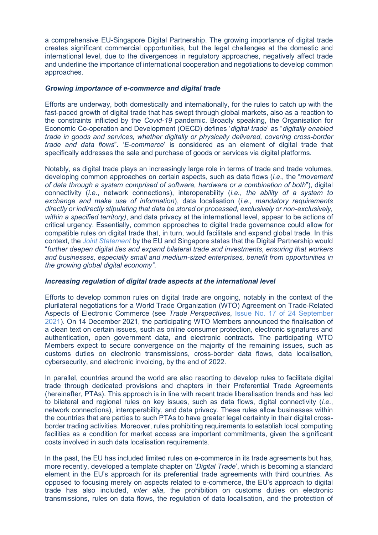a comprehensive EU-Singapore Digital Partnership. The growing importance of digital trade creates significant commercial opportunities, but the legal challenges at the domestic and international level, due to the divergences in regulatory approaches, negatively affect trade and underline the importance of international cooperation and negotiations to develop common approaches.

### *Growing importance of e-commerce and digital trade*

Efforts are underway, both domestically and internationally, for the rules to catch up with the fast-paced growth of digital trade that has swept through global markets, also as a reaction to the constraints inflicted by the *Covid-19* pandemic. Broadly speaking, the Organisation for Economic Co-operation and Development (OECD) defines '*digital trade*' as "*digitally enabled trade in goods and services, whether digitally or physically delivered, covering cross-border trade and data flows*". '*E-commerce*' is considered as an element of digital trade that specifically addresses the sale and purchase of goods or services via digital platforms.

Notably, as digital trade plays an increasingly large role in terms of trade and trade volumes, developing common approaches on certain aspects, such as data flows (*i.e*., the "*movement of data through a system comprised of software, hardware or a combination of both*"), digital connectivity (*i.e*., network connections), interoperability (*i.e.*, *the ability of a system to exchange and make use of information*), data localisation (*i.e., mandatory requirements directly or indirectly stipulating that data be stored or processed, exclusively or non-exclusively, within a specified territory)*, and data privacy at the international level, appear to be actions of critical urgency. Essentially, common approaches to digital trade governance could allow for compatible rules on digital trade that, in turn, would facilitate and expand global trade. In this context, the *[Joint Statement](https://trade.ec.europa.eu/doclib/press/index.cfm?id=2337)* by the EU and Singapore states that the Digital Partnership would "*further deepen digital ties and expand bilateral trade and investments, ensuring that workers and businesses, especially small and medium-sized enterprises, benefit from opportunities in the growing global digital economy".*

### *Increasing regulation of digital trade aspects at the international level*

Efforts to develop common rules on digital trade are ongoing, notably in the context of the plurilateral negotiations for a World Trade Organization (WTO) Agreement on Trade-Related Aspects of Electronic Commerce (see *Trade Perspectives*, [Issue No. 17 of 24 September](http://www.fratinivergano.eu/en/trade-perspectives/26-september-2021/#Regulating%20data%20flows)  [2021\)](http://www.fratinivergano.eu/en/trade-perspectives/26-september-2021/#Regulating%20data%20flows). On 14 December 2021, the participating WTO Members announced the finalisation of a clean text on certain issues, such as online consumer protection, electronic signatures and authentication, open government data, and electronic contracts. The participating WTO Members expect to secure convergence on the majority of the remaining issues, such as customs duties on electronic transmissions, cross-border data flows, data localisation, cybersecurity, and electronic invoicing, by the end of 2022.

In parallel, countries around the world are also resorting to develop rules to facilitate digital trade through dedicated provisions and chapters in their Preferential Trade Agreements (hereinafter, PTAs). This approach is in line with recent trade liberalisation trends and has led to bilateral and regional rules on key issues, such as data flows, digital connectivity (*i.e*., network connections), interoperability, and data privacy. These rules allow businesses within the countries that are parties to such PTAs to have greater legal certainty in their digital crossborder trading activities. Moreover, rules prohibiting requirements to establish local computing facilities as a condition for market access are important commitments, given the significant costs involved in such data localisation requirements.

In the past, the EU has included limited rules on e-commerce in its trade agreements but has, more recently, developed a template chapter on '*Digital Trade*', which is becoming a standard element in the EU's approach for its preferential trade agreements with third countries. As opposed to focusing merely on aspects related to e-commerce, the EU's approach to digital trade has also included, *inter alia*, the prohibition on customs duties on electronic transmissions, rules on data flows, the regulation of data localisation, and the protection of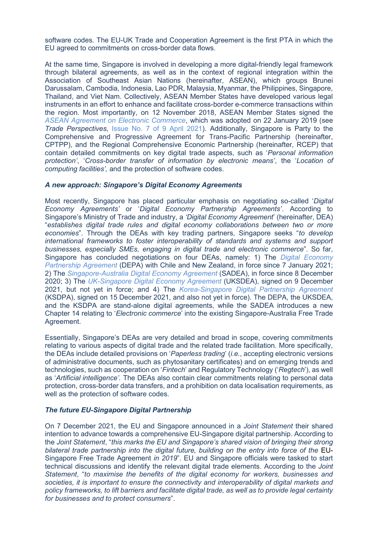software codes. The EU-UK Trade and Cooperation Agreement is the first PTA in which the EU agreed to commitments on cross-border data flows.

At the same time, Singapore is involved in developing a more digital-friendly legal framework through bilateral agreements, as well as in the context of regional integration within the Association of Southeast Asian Nations (hereinafter, ASEAN), which groups Brunei Darussalam, Cambodia, Indonesia, Lao PDR, Malaysia, Myanmar, the Philippines, Singapore, Thailand, and Viet Nam. Collectively, ASEAN Member States have developed various legal instruments in an effort to enhance and facilitate cross-border e-commerce transactions within the region. Most importantly, on 12 November 2018, ASEAN Member States signed the *[ASEAN Agreement on Electronic Commerce](https://agreement.asean.org/media/download/20190306035048.pdf)*, which was adopted on 22 January 2019 (see *Trade Perspectives*, [Issue No. 7 of 9 April 2021\)](http://www.fratinivergano.eu/static/upload/1/1/21.04_.09_TP_Issue_7-2021_.pdf). Additionally, Singapore is Party to the Comprehensive and Progressive Agreement for Trans-Pacific Partnership (hereinafter, CPTPP), and the Regional Comprehensive Economic Partnership (hereinafter, RCEP) that contain detailed commitments on key digital trade aspects, such as '*Personal information protection'*, '*Cross-border transfer of information by electronic means'*, the '*Location of computing facilities',* and the protection of software codes.

### *A new approach: Singapore's Digital Economy Agreements*

Most recently, Singapore has placed particular emphasis on negotiating so-called '*Digital Economy Agreements'* or '*Digital Economy Partnership Agreements'*. According to Singapore's Ministry of Trade and industry, a *'Digital Economy Agreement*' (hereinafter, DEA) "*establishes digital trade rules and digital economy collaborations between two or more economies*". Through the DEAs with key trading partners, Singapore seeks "*to develop international frameworks to foster interoperability of standards and systems and support businesses, especially SMEs, engaging in digital trade and electronic commerce*". So far, Singapore has concluded negotiations on four DEAs, namely: 1) The *[Digital Economy](https://www.mti.gov.sg/Improving-Trade/Digital-Economy-Agreements/The-Digital-Economy-Partnership-Agreement)  [Partnership Agreement](https://www.mti.gov.sg/Improving-Trade/Digital-Economy-Agreements/The-Digital-Economy-Partnership-Agreement)* (DEPA) with Chile and New Zealand, in force since 7 January 2021; 2) The *[Singapore-Australia Digital Economy Agreement](https://www.mti.gov.sg/Improving-Trade/Digital-Economy-Agreements/The-Singapore-Australia-Digital-Economy-Agreement)* (SADEA), in force since 8 December 2020; 3) The *[UK-Singapore Digital Economy Agreement](https://www.mti.gov.sg/Improving-Trade/Digital-Economy-Agreements/UKSDEA)* (UKSDEA), signed on 9 December 2021, but not yet in force; and 4) The *[Korea-Singapore Digital Partnership Agreement](https://www.mti.gov.sg/Improving-Trade/Digital-Economy-Agreements/KSDPA)* (KSDPA), signed on 15 December 2021, and also not yet in force). The DEPA, the UKSDEA, and the KSDPA are stand-alone digital agreements, while the SADEA introduces a new Chapter 14 relating to '*Electronic commerce*' into the existing Singapore-Australia Free Trade Agreement.

Essentially, Singapore's DEAs are very detailed and broad in scope, covering commitments relating to various aspects of digital trade and the related trade facilitation. More specifically, the DEAs include detailed provisions on '*Paperless trading*' (*i.e.*, accepting electronic versions of administrative documents, such as phytosanitary certificates) and on emerging trends and technologies, such as cooperation on '*Fintech*' and Regulatory Technology ('*Regtech*'), as well as '*Artificial intelligence'.* The DEAs also contain clear commitments relating to personal data protection, cross-border data transfers, and a prohibition on data localisation requirements, as well as the protection of software codes.

### *The future EU-Singapore Digital Partnership*

On 7 December 2021, the EU and Singapore announced in a *Joint Statement* their shared intention to advance towards a comprehensive EU-Singapore digital partnership. According to the *Joint Statement*, "*this marks the EU and Singapore's shared vision of bringing their strong*  bilateral trade partnership into the digital future, building on the entry into force of the EU-Singapore Free Trade Agreement *in 2019*". EU and Singapore officials were tasked to start technical discussions and identify the relevant digital trade elements. According to the *Joint Statement*, "*to maximise the benefits of the digital economy for workers, businesses and societies, it is important to ensure the connectivity and interoperability of digital markets and policy frameworks, to lift barriers and facilitate digital trade, as well as to provide legal certainty for businesses and to protect consumers*".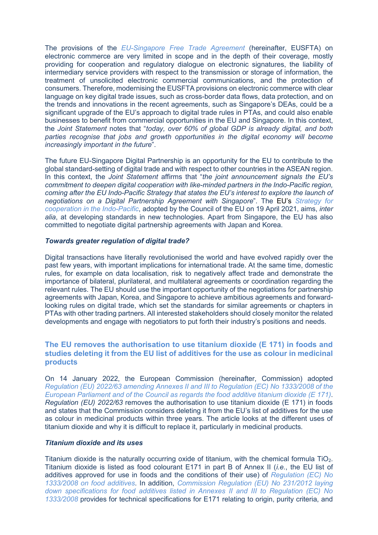The provisions of the *[EU-Singapore Free Trade Agreement](https://www.efta.int/sites/default/files/documents/legal-texts/free-trade-relations/singapore/EFTA-Singapore-Main-Agreement-2021.pdf)* (hereinafter, EUSFTA) on electronic commerce are very limited in scope and in the depth of their coverage, mostly providing for cooperation and regulatory dialogue on electronic signatures, the liability of intermediary service providers with respect to the transmission or storage of information, the treatment of unsolicited electronic commercial communications, and the protection of consumers. Therefore, modernising the EUSFTA provisions on electronic commerce with clear language on key digital trade issues, such as cross-border data flows, data protection, and on the trends and innovations in the recent agreements, such as Singapore's DEAs, could be a significant upgrade of the EU's approach to digital trade rules in PTAs, and could also enable businesses to benefit from commercial opportunities in the EU and Singapore. In this context, the *Joint Statement* notes that "*today, over 60% of global GDP is already digital, and both parties recognise that jobs and growth opportunities in the digital economy will become increasingly important in the future*".

The future EU-Singapore Digital Partnership is an opportunity for the EU to contribute to the global standard-setting of digital trade and with respect to other countries in the ASEAN region. In this context, the *Joint Statement* affirms that "*the joint announcement signals the EU's commitment to deepen digital cooperation with like-minded partners in the Indo-Pacific region, coming after the EU Indo-Pacific Strategy that states the EU's interest to explore the launch of negotiations on a Digital Partnership Agreement with Singapore*". The EU's *[Strategy for](https://ec.europa.eu/commission/presscorner/detail/en/QANDA_21_4709)  [cooperation in the Indo-Pacific](https://ec.europa.eu/commission/presscorner/detail/en/QANDA_21_4709)*, adopted by the Council of the EU on 19 April 2021, aims, *inter alia*, at developing standards in new technologies. Apart from Singapore, the EU has also committed to negotiate digital partnership agreements with Japan and Korea.

### *Towards greater regulation of digital trade?*

Digital transactions have literally revolutionised the world and have evolved rapidly over the past few years, with important implications for international trade. At the same time, domestic rules, for example on data localisation, risk to negatively affect trade and demonstrate the importance of bilateral, plurilateral, and multilateral agreements or coordination regarding the relevant rules. The EU should use the important opportunity of the negotiations for partnership agreements with Japan, Korea, and Singapore to achieve ambitious agreements and forwardlooking rules on digital trade, which set the standards for similar agreements or chapters in PTAs with other trading partners. All interested stakeholders should closely monitor the related developments and engage with negotiators to put forth their industry's positions and needs.

# <span id="page-5-0"></span>**The EU removes the authorisation to use titanium dioxide (E 171) in foods and studies deleting it from the EU list of additives for the use as colour in medicinal products**

On 14 January 2022, the European Commission (hereinafter, Commission) adopted *Regulation (EU) 2022/63 amending Annexes [II and III to Regulation \(EC\) No 1333/2008 of the](https://eur-lex.europa.eu/legal-content/EN/TXT/?uri=uriserv%3AOJ.L_.2022.011.01.0001.01.ENG&toc=OJ%3AL%3A2022%3A011%3ATOC)  [European Parliament and of the Council as regards the food additive titanium dioxide \(E 171\)](https://eur-lex.europa.eu/legal-content/EN/TXT/?uri=uriserv%3AOJ.L_.2022.011.01.0001.01.ENG&toc=OJ%3AL%3A2022%3A011%3ATOC)*. *Regulation (EU) 2022/63* removes the authorisation to use titanium dioxide (E 171) in foods and states that the Commission considers deleting it from the EU's list of additives for the use as colour in medicinal products within three years. The article looks at the different uses of titanium dioxide and why it is difficult to replace it, particularly in medicinal products.

## *Titanium dioxide and its uses*

Titanium dioxide is the naturally occurring oxide of titanium, with the chemical formula  $TiO<sub>2</sub>$ . Titanium dioxide is listed as food colourant E171 in part B of Annex II (*i.e.*, the EU list of additives approved for use in foods and the conditions of their use) of *[Regulation \(EC\) No](https://eur-lex.europa.eu/legal-content/EN/TXT/?uri=celex%3A32008R1333)  [1333/2008 on food additives](https://eur-lex.europa.eu/legal-content/EN/TXT/?uri=celex%3A32008R1333)*. In addition, *[Commission Regulation \(EU\) No 231/2012 laying](https://eur-lex.europa.eu/legal-content/EN/ALL/?uri=celex%3A32012R0231)  [down specifications for food additives listed in Annexes II and III to Regulation \(EC\) No](https://eur-lex.europa.eu/legal-content/EN/ALL/?uri=celex%3A32012R0231)  [1333/2008](https://eur-lex.europa.eu/legal-content/EN/ALL/?uri=celex%3A32012R0231)* provides for technical specifications for E171 relating to origin, purity criteria, and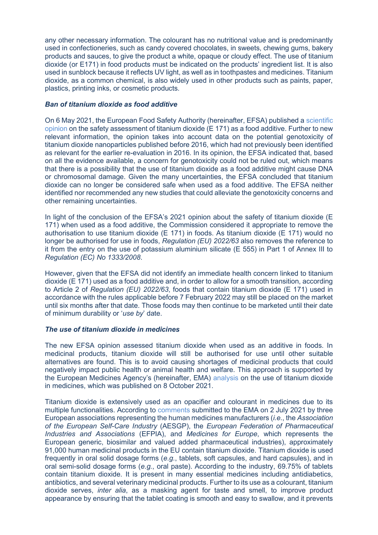any other necessary information. The colourant has no nutritional value and is predominantly used in confectioneries, such as candy covered chocolates, in sweets, chewing gums, bakery products and sauces, to give the product a white, opaque or cloudy effect. The use of titanium dioxide (or E171) in food products must be indicated on the products' ingredient list. It is also used in sunblock because it reflects UV light, as well as in toothpastes and medicines. Titanium dioxide, as a common chemical, is also widely used in other products such as paints, paper, plastics, printing inks, or cosmetic products.

# *Ban of titanium dioxide as food additive*

On 6 May 2021, the European Food Safety Authority (hereinafter, EFSA) published a [scientific](https://www.efsa.europa.eu/en/efsajournal/pub/6585)  [opinion](https://www.efsa.europa.eu/en/efsajournal/pub/6585) on the safety assessment of titanium dioxide (E 171) as a food additive. Further to new relevant information, the opinion takes into account data on the potential genotoxicity of titanium dioxide nanoparticles published before 2016, which had not previously been identified as relevant for the earlier re-evaluation in 2016. In its opinion, the EFSA indicated that, based on all the evidence available, a concern for genotoxicity could not be ruled out, which means that there is a possibility that the use of titanium dioxide as a food additive might cause DNA or chromosomal damage. Given the many uncertainties, the EFSA concluded that titanium dioxide can no longer be considered safe when used as a food additive. The EFSA neither identified nor recommended any new studies that could alleviate the genotoxicity concerns and other remaining uncertainties.

In light of the conclusion of the EFSA's 2021 opinion about the safety of titanium dioxide (E 171) when used as a food additive, the Commission considered it appropriate to remove the authorisation to use titanium dioxide (E 171) in foods. As titanium dioxide (E 171) would no longer be authorised for use in foods, *Regulation (EU) 2022/63* also removes the reference to it from the entry on the use of potassium aluminium silicate (E 555) in Part 1 of Annex III to *Regulation (EC) No 1333/2008*.

However, given that the EFSA did not identify an immediate health concern linked to titanium dioxide (E 171) used as a food additive and, in order to allow for a smooth transition, according to Article 2 of *Regulation (EU) 2022/63*, foods that contain titanium dioxide (E 171) used in accordance with the rules applicable before 7 February 2022 may still be placed on the market until six months after that date. Those foods may then continue to be marketed until their date of minimum durability or '*use by*' date.

# *The use of titanium dioxide in medicines*

The new EFSA opinion assessed titanium dioxide when used as an additive in foods. In medicinal products, titanium dioxide will still be authorised for use until other suitable alternatives are found. This is to avoid causing shortages of medicinal products that could negatively impact public health or animal health and welfare. This approach is supported by the European Medicines Agency's (hereinafter, EMA) [analysis](https://www.ema.europa.eu/en/documents/report/final-feedback-european-medicine-agency-ema-eu-commission-request-evaluate-impact-removal-titanium_en.pdf) on the use of titanium dioxide in medicines, which was published on 8 October 2021.

Titanium dioxide is extensively used as an opacifier and colourant in medicines due to its multiple functionalities. According to [comments](https://www.ema.europa.eu/en/documents/other/annex-i-use-titanium-dioxide-excipient-human-medicines-industry-feedback-qwp-experts/ema-questions_en.pdf) submitted to the EMA on 2 July 2021 by three European associations representing the human medicines manufacturers (*i.e.*, the *Association of the European Self-Care Industry* (AESGP), the *European Federation of Pharmaceutical Industries and Associations* (EFPIA), and *Medicines for Europe*, which represents the European generic, biosimilar and valued added pharmaceutical industries), approximately 91,000 human medicinal products in the EU contain titanium dioxide. Titanium dioxide is used frequently in oral solid dosage forms (*e.g.*, tablets, soft capsules, and hard capsules), and in oral semi-solid dosage forms (*e.g.*, oral paste). According to the industry, 69.75% of tablets contain titanium dioxide. It is present in many essential medicines including antidiabetics, antibiotics, and several veterinary medicinal products. Further to its use as a colourant, titanium dioxide serves, *inter alia*, as a masking agent for taste and smell, to improve product appearance by ensuring that the tablet coating is smooth and easy to swallow, and it prevents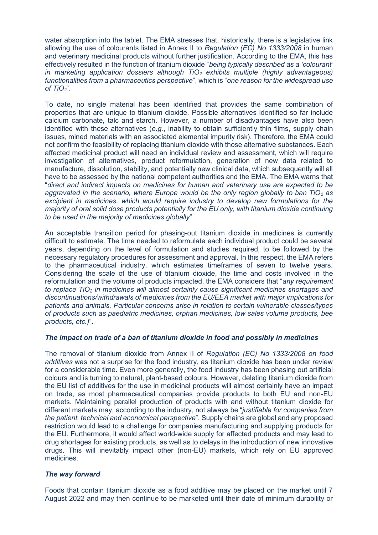water absorption into the tablet. The EMA stresses that, historically, there is a legislative link allowing the use of colourants listed in Annex II to *Regulation (EC) No 1333/2008* in human and veterinary medicinal products without further justification. According to the EMA, this has effectively resulted in the function of titanium dioxide "*being typically described as a 'colourant' in marketing application dossiers although TiO<sup>2</sup> exhibits multiple (highly advantageous) functionalities from a pharmaceutics perspective*", which is "*one reason for the widespread use of TiO2*".

To date, no single material has been identified that provides the same combination of properties that are unique to titanium dioxide. Possible alternatives identified so far include calcium carbonate, talc and starch. However, a number of disadvantages have also been identified with these alternatives (*e.g.*, inability to obtain sufficiently thin films, supply chain issues, mined materials with an associated elemental impurity risk). Therefore, the EMA could not confirm the feasibility of replacing titanium dioxide with those alternative substances. Each affected medicinal product will need an individual review and assessment, which will require investigation of alternatives, product reformulation, generation of new data related to manufacture, dissolution, stability, and potentially new clinical data, which subsequently will all have to be assessed by the national competent authorities and the EMA. The EMA warns that "*direct and indirect impacts on medicines for human and veterinary use are expected to be aggravated in the scenario, where Europe would be the only region globally to ban TiO<sup>2</sup> as excipient in medicines, which would require industry to develop new formulations for the majority of oral solid dose products potentially for the EU only, with titanium dioxide continuing to be used in the majority of medicines globally*".

An acceptable transition period for phasing-out titanium dioxide in medicines is currently difficult to estimate. The time needed to reformulate each individual product could be several years, depending on the level of formulation and studies required, to be followed by the necessary regulatory procedures for assessment and approval. In this respect, the EMA refers to the pharmaceutical industry, which estimates timeframes of seven to twelve years. Considering the scale of the use of titanium dioxide, the time and costs involved in the reformulation and the volume of products impacted, the EMA considers that "*any requirement to replace TiO<sup>2</sup> in medicines will almost certainly cause significant medicines shortages and discontinuations/withdrawals of medicines from the EU/EEA market with major implications for patients and animals. Particular concerns arise in relation to certain vulnerable classes/types of products such as paediatric medicines, orphan medicines, low sales volume products, bee products, etc.)*".

## *The impact on trade of a ban of titanium dioxide in food and possibly in medicines*

The removal of titanium dioxide from Annex II of *Regulation (EC) No 1333/2008 on food additives* was not a surprise for the food industry, as titanium dioxide has been under review for a considerable time. Even more generally, the food industry has been phasing out artificial colours and is turning to natural, plant-based colours. However, deleting titanium dioxide from the EU list of additives for the use in medicinal products will almost certainly have an impact on trade, as most pharmaceutical companies provide products to both EU and non-EU markets. Maintaining parallel production of products with and without titanium dioxide for different markets may, according to the industry, not always be "*justifiable for companies from the patient, technical and economical perspective*". Supply chains are global and any proposed restriction would lead to a challenge for companies manufacturing and supplying products for the EU. Furthermore, it would affect world-wide supply for affected products and may lead to drug shortages for existing products, as well as to delays in the introduction of new innovative drugs. This will inevitably impact other (non-EU) markets, which rely on EU approved medicines.

# *The way forward*

Foods that contain titanium dioxide as a food additive may be placed on the market until 7 August 2022 and may then continue to be marketed until their date of minimum durability or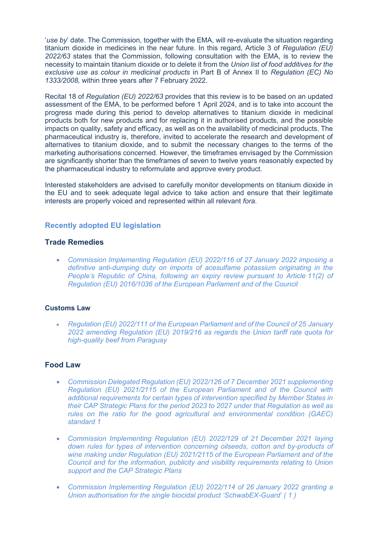*'use by'* date. The Commission, together with the EMA, will re-evaluate the situation regarding titanium dioxide in medicines in the near future. In this regard, Article 3 of *Regulation (EU) 2022/63* states that the Commission, following consultation with the EMA, is to review the necessity to maintain titanium dioxide or to delete it from the *Union list of food additives for the exclusive use as colour in medicinal products* in Part B of Annex II to *Regulation (EC) No 1333/2008,* within three years after 7 February 2022.

Recital 18 of *Regulation (EU) 2022/63* provides that this review is to be based on an updated assessment of the EMA, to be performed before 1 April 2024, and is to take into account the progress made during this period to develop alternatives to titanium dioxide in medicinal products both for new products and for replacing it in authorised products, and the possible impacts on quality, safety and efficacy, as well as on the availability of medicinal products. The pharmaceutical industry is, therefore, invited to accelerate the research and development of alternatives to titanium dioxide, and to submit the necessary changes to the terms of the marketing authorisations concerned. However, the timeframes envisaged by the Commission are significantly shorter than the timeframes of seven to twelve years reasonably expected by the pharmaceutical industry to reformulate and approve every product.

Interested stakeholders are advised to carefully monitor developments on titanium dioxide in the EU and to seek adequate legal advice to take action and ensure that their legitimate interests are properly voiced and represented within all relevant *fora*.

# <span id="page-8-0"></span>**Recently adopted EU legislation**

# **Trade Remedies**

• *[Commission Implementing Regulation \(EU\) 2022/116 of 27](https://eur-lex.europa.eu/legal-content/EN/AUTO/?uri=uriserv:OJ.L_.2022.019.01.0022.01.ENG&toc=OJ:L:2022:019:TOC) January 2022 imposing a [definitive anti-dumping duty on imports of acesulfame potassium originating in the](https://eur-lex.europa.eu/legal-content/EN/AUTO/?uri=uriserv:OJ.L_.2022.019.01.0022.01.ENG&toc=OJ:L:2022:019:TOC)  People's Republic of Ch[ina, following an expiry review pursuant to Article](https://eur-lex.europa.eu/legal-content/EN/AUTO/?uri=uriserv:OJ.L_.2022.019.01.0022.01.ENG&toc=OJ:L:2022:019:TOC) 11(2) of [Regulation \(EU\) 2016/1036 of the European Parliament and of the Council](https://eur-lex.europa.eu/legal-content/EN/AUTO/?uri=uriserv:OJ.L_.2022.019.01.0022.01.ENG&toc=OJ:L:2022:019:TOC)*

# **Customs Law**

• *[Regulation \(EU\) 2022/111 of the European Parliament and of the Council of 25](https://eur-lex.europa.eu/legal-content/EN/AUTO/?uri=uriserv:OJ.L_.2022.019.01.0001.01.ENG&toc=OJ:L:2022:019:TOC) January [2022 amending Regulation \(EU\) 2019/216 as regards the Union tariff rate quota for](https://eur-lex.europa.eu/legal-content/EN/AUTO/?uri=uriserv:OJ.L_.2022.019.01.0001.01.ENG&toc=OJ:L:2022:019:TOC)  [high-quality beef from Paraguay](https://eur-lex.europa.eu/legal-content/EN/AUTO/?uri=uriserv:OJ.L_.2022.019.01.0001.01.ENG&toc=OJ:L:2022:019:TOC)*

# **Food Law**

- *[Commission Delegated Regulation \(EU\) 2022/126](https://eur-lex.europa.eu/legal-content/EN/AUTO/?uri=uriserv:OJ.L_.2022.020.01.0052.01.ENG&toc=OJ:L:2022:020:TOC) of 7 December 2021 supplementing [Regulation \(EU\) 2021/2115 of the European Parliament and of the Council with](https://eur-lex.europa.eu/legal-content/EN/AUTO/?uri=uriserv:OJ.L_.2022.020.01.0052.01.ENG&toc=OJ:L:2022:020:TOC)  [additional requirements for certain types of intervention specified by Member States in](https://eur-lex.europa.eu/legal-content/EN/AUTO/?uri=uriserv:OJ.L_.2022.020.01.0052.01.ENG&toc=OJ:L:2022:020:TOC)  [their CAP Strategic Plans for the period 2023 to 2027 under that Regulation as well as](https://eur-lex.europa.eu/legal-content/EN/AUTO/?uri=uriserv:OJ.L_.2022.020.01.0052.01.ENG&toc=OJ:L:2022:020:TOC)  [rules on the ratio for the good agricultural and environmental condition \(GAEC\)](https://eur-lex.europa.eu/legal-content/EN/AUTO/?uri=uriserv:OJ.L_.2022.020.01.0052.01.ENG&toc=OJ:L:2022:020:TOC)  [standard](https://eur-lex.europa.eu/legal-content/EN/AUTO/?uri=uriserv:OJ.L_.2022.020.01.0052.01.ENG&toc=OJ:L:2022:020:TOC) 1*
- *[Commission Implementing Regulation \(EU\) 2022/129 of 21](https://eur-lex.europa.eu/legal-content/EN/AUTO/?uri=uriserv:OJ.L_.2022.020.01.0197.01.ENG&toc=OJ:L:2022:020:TOC) December 2021 laying [down rules for types of intervention concerning oilseeds, cotton and by-products of](https://eur-lex.europa.eu/legal-content/EN/AUTO/?uri=uriserv:OJ.L_.2022.020.01.0197.01.ENG&toc=OJ:L:2022:020:TOC)  [wine making under Regulation \(EU\) 2021/2115 of the European Parliament and of the](https://eur-lex.europa.eu/legal-content/EN/AUTO/?uri=uriserv:OJ.L_.2022.020.01.0197.01.ENG&toc=OJ:L:2022:020:TOC)  [Council and for the information, publicity and visibility requirements relating to Union](https://eur-lex.europa.eu/legal-content/EN/AUTO/?uri=uriserv:OJ.L_.2022.020.01.0197.01.ENG&toc=OJ:L:2022:020:TOC)  [support and the CAP Strategic Plans](https://eur-lex.europa.eu/legal-content/EN/AUTO/?uri=uriserv:OJ.L_.2022.020.01.0197.01.ENG&toc=OJ:L:2022:020:TOC)*
- *[Commission Implementing Regulation \(EU\) 2022/114 of 26](https://eur-lex.europa.eu/legal-content/EN/AUTO/?uri=uriserv:OJ.L_.2022.019.01.0011.01.ENG&toc=OJ:L:2022:019:TOC) January 2022 granting a [Union authorisation for the single biocidal prod](https://eur-lex.europa.eu/legal-content/EN/AUTO/?uri=uriserv:OJ.L_.2022.019.01.0011.01.ENG&toc=OJ:L:2022:019:TOC)uct 'SchwabEX-Guard' ( [1](https://eur-lex.europa.eu/legal-content/EN/TXT/?uri=OJ:L:2022:019:TOC#TN1) )*